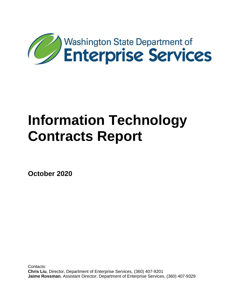

**October 2020**

Contacts: **Chris Liu**, Director, Department of Enterprise Services, (360) 407-9201 **Jaime Rossman**, Assistant Director, Department of Enterprise Services, (360) 407-9329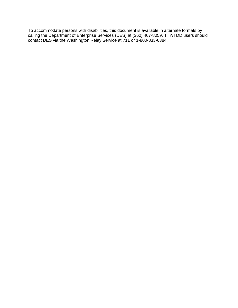To accommodate persons with disabilities, this document is available in alternate formats by calling the Department of Enterprise Services (DES) at (360) 407-8059. TTY/TDD users should contact DES via the Washington Relay Service at 711 or 1-800-833-6384.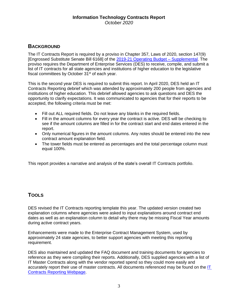# **BACKGROUND**

The IT Contracts Report is required by a proviso in Chapter 357, Laws of 2020, section 147(9) [Engrossed Substitute Senate Bill 6168] of the [2019-21 Operating Budget –](http://lawfilesext.leg.wa.gov/biennium/2019-20/Pdf/Bills/Session%20Laws/Senate/6168-S.SL.pdf?=f9933?q=20200525124048) Supplemental. The proviso requires the Department of Enterprise Services (DES) to receive, compile, and submit a list of IT contracts for all state agencies and institutions of higher education to the legislative fiscal committees by October 31<sup>st</sup> of each year.

This is the second year DES is required to submit this report. In April 2020, DES held an IT Contracts Reporting debrief which was attended by approximately 200 people from agencies and institutions of higher education. This debrief allowed agencies to ask questions and DES the opportunity to clarify expectations. It was communicated to agencies that for their reports to be accepted, the following criteria must be met:

- Fill out ALL required fields. Do not leave any blanks in the required fields.
- Fill in the amount columns for every year the contract is active. DES will be checking to see if the amount columns are filled in for the contract start and end dates entered in the report.
- Only numerical figures in the amount columns. Any notes should be entered into the new contract amount explanation field.
- The tower fields must be entered as percentages and the total percentage column must equal 100%.

This report provides a narrative and analysis of the state's overall IT Contracts portfolio.

# **TOOLS**

DES revised the IT Contracts reporting template this year. The updated version created two explanation columns where agencies were asked to input explanations around contract end dates as well as an explanation column to detail why there may be missing Fiscal Year amounts during active contract years.

Enhancements were made to the Enterprise Contract Management System, used by approximately 24 state agencies, to better support agencies with meeting this reporting requirement.

DES also maintained and updated the FAQ document and training documents for agencies to reference as they were compiling their reports. Additionally, DES supplied agencies with a list of IT Master Contracts along with the vendor reported spend so they could more easily and accurately report their use of master contracts. All documents referenced may be found on the [IT](https://des.wa.gov/services/contracting-purchasing/policies-training/agency-contract-reporting/it-contracts-reporting)  [Contracts Reporting Webpage.](https://des.wa.gov/services/contracting-purchasing/policies-training/agency-contract-reporting/it-contracts-reporting)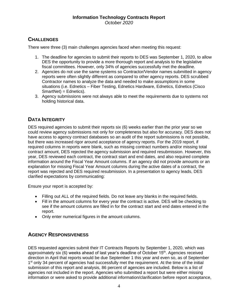# **CHALLENGES**

There were three (3) main challenges agencies faced when meeting this request:

- 1. The deadline for agencies to submit their reports to DES was September 1, 2020, to allow DES the opportunity to provide a more thorough report and analysis to the legislative fiscal committees. However, only 34% of agencies successfully met the deadline.
- 2. Agencies do not use the same systems so Contractor/Vendor names submitted in agency reports were often slightly different as compared to other agency reports. DES scrubbed Contractor names to analyze the data and needed to make assumptions in some situations (i.e. Ednetics – Fiber Testing, Ednetics Hardware, Ednetics, Ednetics (Cisco SmartNet) = Ednetics).
- 3. Agency submissions were not always able to meet the requirements due to systems not holding historical data.

# **DATA INTEGRITY**

DES required agencies to submit their reports six (6) weeks earlier than the prior year so we could review agency submissions not only for completeness but also for accuracy. DES does not have access to agency contract databases so an audit of the report submissions is not possible, but there was increased rigor around acceptance of agency reports. For the 2019 report, if required columns in reports were blank, such as missing contract numbers and/or missing total contract amount, DES rejected the agency submission and required resubmission. However, this year, DES reviewed each contract, the contract start and end dates, and also required complete information around the Fiscal Year Amount columns. If an agency did not provide amounts or an explanation for missing Fiscal Year Amount columns during the active dates of a contract, the report was rejected and DES required resubmission. In a presentation to agency leads, DES clarified expectations by communicating:

Ensure your report is accepted by:

- Filling out ALL of the required fields. Do not leave any blanks in the required fields.
- Fill in the amount columns for every year the contract is active. DES will be checking to see if the amount columns are filled in for the contract start and end dates entered in the report.
- Only enter numerical figures in the amount columns.

# **AGENCY RESPONSIVENESS**

DES requested agencies submit their IT Contracts Reports by September 1, 2020, which was approximately six (6) weeks ahead of last year's deadline of October 15<sup>th</sup>. Agencies received direction in April that reports would be due September 1 this year and even so, as of September 1<sup>st</sup> only 34 percent of agencies had successfully met the requirement. At the time of the initial submission of this report and analysis, 86 percent of agencies are included. Below is a list of agencies not included in the report. Agencies who submitted a report but were either missing information or were asked to provide additional information/clarification before report acceptance,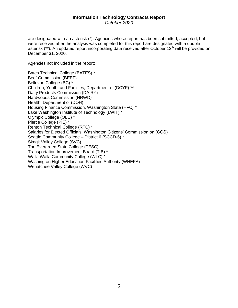*October 2020*

are designated with an asterisk (\*). Agencies whose report has been submitted, accepted, but were received after the analysis was completed for this report are designated with a double asterisk (\*\*). An updated report incorporating data received after October 12<sup>th</sup> will be provided on December 31, 2020.

Agencies not included in the report:

Bates Technical College (BATES) \* Beef Commission (BEEF) Bellevue College (BC) \* Children, Youth, and Families, Department of (DCYF) \*\* Dairy Products Commission (DAIRY) Hardwoods Commission (HRWD) Health, Department of (DOH) Housing Finance Commission, Washington State (HFC) \* Lake Washington Institute of Technology (LWIT) \* Olympic College (OLC) \* Pierce College (PIE) \* Renton Technical College (RTC) \* Salaries for Elected Officials, Washington Citizens' Commission on (COS) Seattle Community College – District 6 (SCCD-6) \* Skagit Valley College (SVC) The Evergreen State College (TESC) Transportation Improvement Board (TIB) \* Walla Walla Community College (WLC) \* Washington Higher Education Facilities Authority (WHEFA) Wenatchee Valley College (WVC)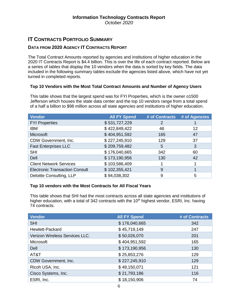# **IT CONTRACTS PORTFOLIO SUMMARY**

## **DATA FROM 2020 AGENCY IT CONTRACTS REPORT**

The Total Contract Amounts reported by agencies and institutions of higher education in the 2020 IT Contracts Report is \$4.4 billion. This is over the life of each contract reported. Below are a series of tables that display the 10 vendors when the data is sorted by key fields. The data included in the following summary tables exclude the agencies listed above, which have not yet turned in completed reports.

#### **Top 10 Vendors with the Most Total Contract Amounts and Number of Agency Users**

This table shows that the largest spend was for FYI Properties, which is the owner o1500 Jefferson which houses the state data center and the top 10 vendors range from a total spend of a half a billion to \$98 million across all state agencies and institutions of higher education.

| <b>Vendor</b>                         | <b>All FY Spend</b> | # of Contracts | # of Agencies |
|---------------------------------------|---------------------|----------------|---------------|
| <b>FYI Properties</b>                 | \$531,727,229       | 2              |               |
| <b>IBM</b>                            | \$422,849,422       | 46             | 12            |
| Microsoft                             | \$404,951,592       | 165            | 47            |
| CDW Government, Inc.                  | \$227,245,910       | 129            | 37            |
| <b>Fast Enterprises LLC</b>           | \$209,759,482       | 5              | 3             |
| <b>SHI</b>                            | \$176,040,665       | 342            | 60            |
| Dell                                  | \$173,190,956       | 130            | 42            |
| <b>Client Network Services</b>        | \$103,586,409       |                |               |
| <b>Electronic Transaction Consult</b> | \$102,355,421       | 9              |               |
| Deloitte Consulting, LLP              | \$94,038,302        | 9              | 5             |

#### **Top 10 vendors with the Most Contracts for All Fiscal Years**

This table shows that SHI had the most contracts across all state agencies and institutions of higher education, with a total of 342 contracts with the 10<sup>th</sup> highest vendor, ESRI, Inc. having 74 contracts.

| <b>Vendor</b>                  | <b>All FY Spend</b> | # of Contracts |
|--------------------------------|---------------------|----------------|
| <b>SHI</b>                     | \$176,040,665       | 342            |
| Hewlett-Packard                | \$45,719,149        | 247            |
| Verizon Wireless Services LLC. | \$50,026,070        | 201            |
| Microsoft                      | \$404,951,592       | 165            |
| Dell                           | \$173,190,956       | 130            |
| AT&T                           | \$25,853,276        | 129            |
| CDW Government, Inc.           | \$227,245,910       | 129            |
| Ricoh USA, Inc.                | \$49,150,071        | 121            |
| Cisco Systems, Inc.            | \$21,793,186        | 116            |
| ESRI, Inc.                     | \$18,150,906        | 74             |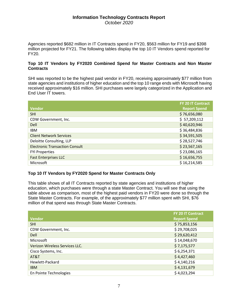Agencies reported \$682 million in IT Contracts spend in FY20, \$563 million for FY19 and \$398 million projected for FY21. The following tables display the top 10 IT Vendors spend reported for FY20.

#### **Top 10 IT Vendors by FY2020 Combined Spend for Master Contracts and Non Master Contracts**

SHI was reported to be the highest paid vendor in FY20, receiving approximately \$77 million from state agencies and institutions of higher education and the top 10 range ends with Microsoft having received approximately \$16 million. SHI purchases were largely categorized in the Application and End User IT towers.

|                                       | <b>FY 20 IT Contract</b> |
|---------------------------------------|--------------------------|
| <b>Vendor</b>                         | <b>Report Spend</b>      |
| <b>SHI</b>                            | \$76,656,080             |
| CDW Government, Inc.                  | \$57,209,112             |
| Dell                                  | \$40,620,946             |
| <b>IBM</b>                            | \$36,484,836             |
| <b>Client Network Services</b>        | \$34,591,505             |
| Deloitte Consulting, LLP              | \$28,527,746             |
| <b>Electronic Transaction Consult</b> | \$23,567,165             |
| <b>FYI Properties</b>                 | \$23,086,165             |
| <b>Fast Enterprises LLC</b>           | \$16,656,755             |
| Microsoft                             | \$16,214,585             |

## **Top 10 IT Vendors by FY2020 Spend for Master Contracts Only**

This table shows of all IT Contracts reported by state agencies and institutions of higher education, which purchases were through a state Master Contract. You will see that using the table above as comparison, most of the highest paid vendors in FY20 were done so through the State Master Contracts. For example, of the approximately \$77 million spent with SHI, \$76 million of that spend was through State Master Contracts.

|                                | <b>FY 20 IT Contract</b> |
|--------------------------------|--------------------------|
| <b>Vendor</b>                  | <b>Report Spend</b>      |
| <b>SHI</b>                     | \$75,853,156             |
| CDW Government, Inc.           | \$29,708,025             |
| <b>Dell</b>                    | \$29,620,412             |
| Microsoft                      | \$14,048,670             |
| Verizon Wireless Services LLC. | \$7,175,577              |
| Cisco Systems, Inc.            | \$6,254,371              |
| AT&T                           | \$4,427,460              |
| Hewlett-Packard                | \$4,140,216              |
| <b>IBM</b>                     | \$4,131,679              |
| En Pointe Technologies         | \$4,023,294              |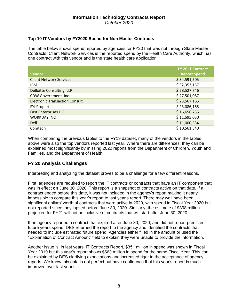## **Top 10 IT Vendors by FY2020 Spend for Non Master Contracts**

The table below shows spend reported by agencies for FY20 that was not through State Master Contracts. Client Network Services is the reported spend by the Health Care Authority, which has one contract with this vendor and is the state health care application.

|                                       | <b>FY 20 IT Contract</b> |
|---------------------------------------|--------------------------|
| <b>Vendor</b>                         | <b>Report Spend</b>      |
| <b>Client Network Services</b>        | \$34,591,505             |
| IBM                                   | \$32,353,157             |
| Delloitte Consulting, LLP             | \$28,527,746             |
| CDW Government, Inc.                  | \$27,501,087             |
| <b>Electronic Transaction Consult</b> | \$23,567,165             |
| <b>FYI Properties</b>                 | \$23,086,165             |
| <b>Fast Enterprises LLC</b>           | \$16,656,755             |
| <b>WORKDAY INC</b>                    | \$11,595,050             |
| Dell                                  | \$11,000,534             |
| Comtech                               | \$10,561,540             |

When comparing the previous tables to the FY19 dataset, many of the vendors in the tables above were also the top vendors reported last year. Where there are differences, they can be explained most significantly by missing 2020 reports from the Department of Children, Youth and Families, and the Department of Health.

## **FY 20 Analysis Challenges**

Interpreting and analyzing the dataset proves to be a challenge for a few different reasons.

First, agencies are required to report the IT contracts or contracts that have an IT component that was in effect **on** June 30, 2020. This report is a snapshot of contracts active on that date. If a contract ended before this date, it was not included in the agency's report making it nearly impossible to compare this year's report to last year's report. There may well have been significant dollars' worth of contracts that were active in 2020, with spend in Fiscal Year 2020 but not reported since they lapsed before June 30, 2020. Similarly, the estimate of \$398 million projected for FY21 will not be inclusive of contracts that will start after June 30, 2020.

If an agency reported a contract that expired after June 30, 2020, and did not report predicted future years spend, DES returned the report to the agency and identified the contracts that needed to include estimated future spend. Agencies either filled in the amount or used the "Explanation of Contract Amount" field to explain they were unable to provide the information.

Another issue is, in last years' IT Contracts Report, \$351 million in spend was shown in Fiscal Year 2019 but this year's report shows \$563 million in spend for the same Fiscal Year. This can be explained by DES clarifying expectations and increased rigor in the acceptance of agency reports. We know this data is not perfect but have confidence that this year's report is much improved over last year's.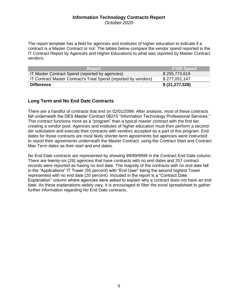The report template has a field for agencies and institutes of higher education to indicate if a contract is a Master Contract or not. The tables below compare the vendor spend reported in the IT Contract Report by Agencies and Higher Educations to what was reported by Master Contract vendors.

| <b>Report</b>                                                          | <b>FY20 Spend</b> |
|------------------------------------------------------------------------|-------------------|
| IT Master Contract Spend (reported by agencies)                        | \$255,773,619     |
| <b>IT Contract Master Contract's Total Spend (reported by vendors)</b> | \$277,051,147     |
| <b>Difference</b>                                                      | \$ (21, 277, 528) |

## **Long Term and No End Date Contracts**

There are a handful of contracts that end on 02/01/2099. After analysis, most of these contracts fall underneath the DES Master Contract 08215 "Information Technology Professional Services." This contract functions more as a "program" than a typical master contract with the first tier creating a vendor pool. Agencies and institutes of higher education must then perform a secondtier solicitation and execute their contracts with vendors accepted as a part of this program. End dates for those contracts are most likely shorter-term agreements but agencies were instructed to report their agreements underneath the Master Contract, using the Contract Start and Contract Max Term dates as their start and end dates.

No End Date contracts are represented by showing 99/99/9999 in the Contract End Date column. There are twenty-six (26) agencies that have contracts with no end dates and 257 contract records were reported as having no end date. The majority of the contracts with no end date fall in the "Applications" IT Tower (55 percent) with "End User" being the second highest Tower represented with no end date (20 percent). Included in the report is a "Contract Date Explanation" column where agencies were asked to explain why a contract does not have an end date. As these explanations widely vary, it is encouraged to filter the excel spreadsheet to gather further information regarding No End Date contracts.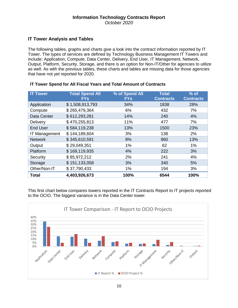## **IT Tower Analysis and Tables**

The following tables, graphs and charts give a look into the contract information reported by IT Tower. The types of services are defined by Technology Business Management IT Towers and include: Application, Compute, Data Center, Delivery, End User, IT Management, Network, Output, Platform, Security, Storage, and there is an option for Non-IT/Other for agencies to utilize as well. As with the previous tables, these charts and tables are missing data for those agencies that have not yet reported for 2020.

| <b>IT Tower</b>      | <b>Total Spend All</b><br><b>FYs</b> | % of Spend All<br><b>FYs</b> | <b>Total</b><br><b>Contracts</b> | $%$ of<br><b>Contracts</b> |
|----------------------|--------------------------------------|------------------------------|----------------------------------|----------------------------|
| Application          | \$1,508,913,793                      | 34%                          | 1838                             | 28%                        |
| Compute              | \$265,479,364                        | 6%                           | 432                              | 7%                         |
| Data Center          | \$612,293,281                        | 14%                          | 240                              | 4%                         |
| Delivery             | \$470,255,813                        | 11%                          | 477                              | 7%                         |
| <b>End User</b>      | \$584,119,238                        | 13%                          | 1500                             | 23%                        |
| <b>IT Management</b> | \$144,189,604                        | 3%                           | 138                              | 2%                         |
| <b>Network</b>       | \$345,610,591                        | 8%                           | 860                              | 13%                        |
| Output               | \$29,049,351                         | 1%                           | 62                               | 1%                         |
| Platform             | \$169,119,935                        | 4%                           | 222                              | 3%                         |
| Security             | \$85,972,212                         | 2%                           | 241                              | 4%                         |
| Storage              | \$151,133,058                        | 3%                           | 340                              | 5%                         |
| Other/Non-IT         | \$37,790,433                         | 1%                           | 194                              | 3%                         |
| <b>Total</b>         | 4,403,926,673                        | 100%                         | 6544                             | 100%                       |

#### **IT Tower Spend for All Fiscal Years and Total Amount of Contracts**

This first chart below compares towers reported in the IT Contracts Report to IT projects reported to the OCIO. The biggest variance is in the Data Center tower.

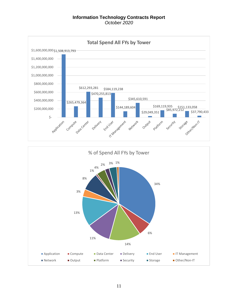

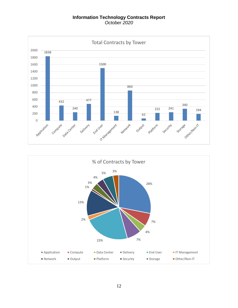

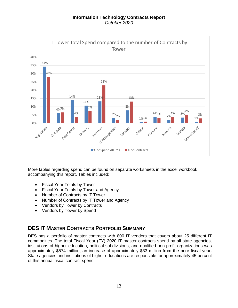

More tables regarding spend can be found on separate worksheets in the excel workbook accompanying this report. Tables included:

- Fiscal Year Totals by Tower
- Fiscal Year Totals by Tower and Agency
- Number of Contracts by IT Tower
- Number of Contracts by IT Tower and Agency
- Vendors by Tower by Contracts
- Vendors by Tower by Spend

# **DES IT MASTER CONTRACTS PORTFOLIO SUMMARY**

DES has a portfolio of master contracts with 800 IT vendors that covers about 25 different IT commodities. The total Fiscal Year (FY) 2020 IT master contracts spend by all state agencies, institutions of higher education, political subdivisions, and qualified non-profit organizations was approximately \$574 million, an increase of approximately \$33 million from the prior fiscal year. State agencies and institutions of higher educations are responsible for approximately 45 percent of this annual fiscal contract spend.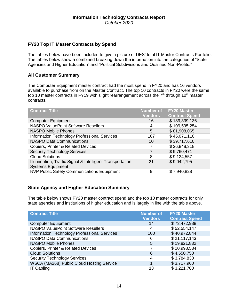## **FY20 Top IT Master Contracts by Spend**

The tables below have been included to give a picture of DES' total IT Master Contracts Portfolio. The tables below show a combined breaking down the information into the categories of "State Agencies and Higher Education" and "Political Subdivisions and Qualified Non-Profits."

## **All Customer Summary**

The Computer Equipment master contract had the most spend in FY20 and has 16 vendors available to purchase from on the Master Contract. The top 10 contracts in FY20 were the same top 10 master contracts in FY19 with slight rearrangement across the  $7<sup>th</sup>$  through 10<sup>th</sup> master contracts.

| <b>Contract Title</b>                                     | <b>Number of</b> | <b>FY20 Master</b>    |
|-----------------------------------------------------------|------------------|-----------------------|
|                                                           | <b>Vendors</b>   | <b>Contract Spend</b> |
| <b>Computer Equipment</b>                                 | 16               | \$189,339,136         |
| <b>NASPO ValuePoint Software Resellers</b>                | 4                | \$109,595,254         |
| <b>NASPO Mobile Phones</b>                                | 5                | \$81,908,065          |
| <b>Information Technology Professional Services</b>       | 107              | \$45,071,110          |
| <b>NASPO Data Communications</b>                          | 10               | \$39,717,610          |
| Copiers, Printer & Related Devices                        | 7                | \$26,848,318          |
| <b>Security Technology Services</b>                       | 7                | \$9,760,471           |
| <b>Cloud Solutions</b>                                    | 8                | \$9,124,557           |
| Illumination, Traffic Signal & Intelligent Transportation | 21               | \$9,042,795           |
| <b>Systems Equipment</b>                                  |                  |                       |
| <b>NVP Public Safety Communications Equipment</b>         | 9                | \$7,940,828           |

## **State Agency and Higher Education Summary**

The table below shows FY20 master contract spend and the top 10 master contracts for only state agencies and institutions of higher education and is largely in line with the table above.

| <b>Contract Title</b>                               | <b>Number of</b> | <b>FY20 Master</b>    |
|-----------------------------------------------------|------------------|-----------------------|
|                                                     | <b>Vendors</b>   | <b>Contract Spend</b> |
| <b>Computer Equipment</b>                           | 14               | \$73,472,988          |
| <b>NASPO ValuePoint Software Resellers</b>          | 4                | \$52,554,147          |
| <b>Information Technology Professional Services</b> | 100              | \$40,972,844          |
| <b>NASPO Data Communications</b>                    | 6                | \$21,117,143          |
| <b>NASPO Mobile Phones</b>                          | 5                | \$19,821,832          |
| Copiers, Printer & Related Devices                  |                  | \$10,998,534          |
| <b>Cloud Solutions</b>                              | 6                | \$4,550,750           |
| <b>Security Technology Services</b>                 | 4                | \$3,784,830           |
| WSCA (MA268) Public Cloud Hosting Service           | 1                | \$3,717,960           |
| <b>IT Cabling</b>                                   | 13               | \$3,221,700           |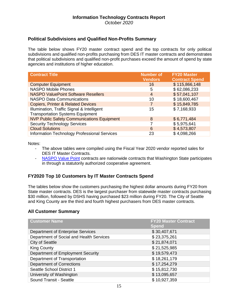## **Political Subdivisions and Qualified Non-Profits Summary**

The table below shows FY20 master contract spend and the top contracts for only political subdivisions and qualified non-profits purchasing from DES IT master contracts and demonstrates that political subdivisions and qualified non-profit purchases exceed the amount of spend by state agencies and institutions of higher education.

| <b>Contract Title</b>                             | <b>Number of</b> | <b>FY20 Master</b>    |
|---------------------------------------------------|------------------|-----------------------|
|                                                   | <b>Vendors</b>   | <b>Contract Spend</b> |
| <b>Computer Equipment</b>                         | 16               | \$115,866,148         |
| <b>NASPO Mobile Phones</b>                        | 5                | \$62,086,233          |
| <b>NASPO ValuePoint Software Resellers</b>        | $\overline{4}$   | \$57,041,107          |
| <b>NASPO Data Communications</b>                  | 10               | \$18,600,467          |
| <b>Copiers, Printer &amp; Related Devices</b>     | $\overline{7}$   | \$15,849,785          |
| Illumination, Traffic Signal & Intelligent        | 15               | \$7,168,933           |
| <b>Transportation Systems Equipment</b>           |                  |                       |
| <b>NVP Public Safety Communications Equipment</b> | 8                | \$6,771,484           |
| <b>Security Technology Services</b>               |                  | \$5,975,641           |
| <b>Cloud Solutions</b>                            | 6                | \$4,573,807           |
| Information Technology Professional Services      | 23               | \$4,098,266           |

Notes:

- The above tables were compiled using the Fiscal Year 2020 vendor reported sales for DES IT Master Contracts.
- [NASPO Value Point](https://www.naspovaluepoint.org/portfolios/) contracts are nationwide contracts that Washington State participates in through a statutorily authorized cooperative agreement.

## **FY2020 Top 10 Customers by IT Master Contracts Spend**

The tables below show the customers purchasing the highest dollar amounts during FY20 from State master contracts. DES is the largest purchaser from statewide master contracts purchasing \$30 million, followed by DSHS having purchased \$23 million during FY20. The City of Seattle and King County are the third and fourth highest purchasers from DES master contracts.

#### **All Customer Summary**

| <b>Customer Name</b>                     | <b>FY20 Master Contract</b><br><b>Spend</b> |
|------------------------------------------|---------------------------------------------|
| Department of Enterprise Services        | \$30,407,671                                |
| Department of Social and Health Services | \$23,375,261                                |
| <b>City of Seattle</b>                   | \$21,874,071                                |
| <b>King County</b>                       | \$21,525,985                                |
| Department of Employment Security        | \$19,579,473                                |
| Department of Transportation             | \$18,261,179                                |
| <b>Department of Corrections</b>         | \$17,254,279                                |
| <b>Seattle School District 1</b>         | \$15,812,730                                |
| University of Washington                 | \$13,095,657                                |
| Sound Transit - Seattle                  | \$10,927,359                                |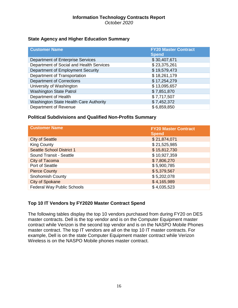## **State Agency and Higher Education Summary**

| <b>Customer Name</b>                     | <b>FY20 Master Contract</b><br><b>Spend</b> |
|------------------------------------------|---------------------------------------------|
| Department of Enterprise Services        | \$30,407,671                                |
| Department of Social and Health Services | \$23,375,261                                |
| Department of Employment Security        | \$19,579,473                                |
| Department of Transportation             | \$18,261,179                                |
| <b>Department of Corrections</b>         | \$17,254,279                                |
| University of Washington                 | \$13,095,657                                |
| <b>Washington State Patrol</b>           | \$7,851,870                                 |
| Department of Health                     | \$7,717,507                                 |
| Washington State Health Care Authority   | \$7,452,372                                 |
| Department of Revenue                    | \$6,859,850                                 |

## **Political Subdivisions and Qualified Non-Profits Summary**

| <b>Customer Name</b>             | <b>FY20 Master Contract</b><br><b>Spend</b> |
|----------------------------------|---------------------------------------------|
| <b>City of Seattle</b>           | \$21,874,071                                |
| <b>King County</b>               | \$21,525,985                                |
| <b>Seattle School District 1</b> | \$15,812,730                                |
| Sound Transit - Seattle          | \$10,927,359                                |
| City of Tacoma                   | \$7,806,270                                 |
| Port of Seattle                  | \$5,900,785                                 |
| <b>Pierce County</b>             | \$5,379,567                                 |
| Snohomish County                 | \$5,202,078                                 |
| <b>City of Spokane</b>           | \$4,165,989                                 |
| Federal Way Public Schools       | \$4,035,523                                 |

## **Top 10 IT Vendors by FY2020 Master Contract Spend**

The following tables display the top 10 vendors purchased from during FY20 on DES master contracts. Dell is the top vendor and is on the Computer Equipment master contract while Verizon is the second top vendor and is on the NASPO Mobile Phones master contract. The top IT vendors are all on the top 10 IT master contracts. For example, Dell is on the state Computer Equipment master contract while Verizon Wireless is on the NASPO Mobile phones master contract.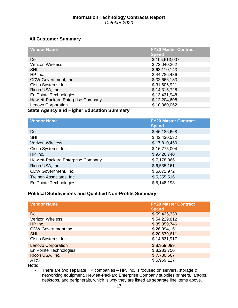# **All Customer Summary**

| <b>Vendor Name</b>                               | <b>FY20 Master Contract</b> |
|--------------------------------------------------|-----------------------------|
|                                                  | <b>Spend</b>                |
| Dell                                             | \$105,613,007               |
| <b>Verizon Wireless</b>                          | \$72,040,262                |
| <b>SHI</b>                                       | \$63,110,143                |
| HP Inc.                                          | \$44,786,486                |
| CDW Government, Inc.                             | \$32,666,133                |
| Cisco Systems, Inc.                              | \$31,606,921                |
| Ricoh USA, Inc.                                  | \$14,315,728                |
| En Pointe Technologies                           | \$13,431,948                |
| Hewlett-Packard Enterprise Company               | \$12,204,608                |
| Lenovo Corporation                               | \$10,060,062                |
| <b>State Agency and Higher Education Summary</b> |                             |

| <b>Vendor Name</b>                 | <b>FY20 Master Contract</b><br><b>Spend</b> |
|------------------------------------|---------------------------------------------|
| Dell                               | \$46,186,668                                |
| <b>SHI</b>                         | \$42,430,532                                |
| <b>Verizon Wireless</b>            | \$17,810,450                                |
| Cisco Systems, Inc.                | \$16,775,004                                |
| HP Inc.                            | \$9,426,740                                 |
| Hewlett-Packard Enterprise Company | \$7,178,066                                 |
| Ricoh USA, Inc.                    | \$6,535,161                                 |
| CDW Government, Inc.               | \$5,671,972                                 |
| Treinen Associates, Inc.           | \$5,355,516                                 |
| En Pointe Technologies             | \$5,148,198                                 |

# **Political Subdivisions and Qualified Non-Profits Summary**

| <b>Vendor Name</b>         | <b>FY20 Master Contract</b><br><b>Spend</b> |
|----------------------------|---------------------------------------------|
| <b>Dell</b>                | \$59,426,339                                |
| <b>Verizon Wireless</b>    | \$54,229,812                                |
| HP Inc.                    | \$35,359,746                                |
| <b>CDW Government Inc.</b> | \$26,994,161                                |
| <b>SHI</b>                 | \$20,679,611                                |
| Cisco Systems, Inc.        | \$14,831,917                                |
| <b>Lenovo Corporation</b>  | \$8,959,099                                 |
| En Pointe Technologies     | \$8,283,750                                 |
| Ricoh USA, Inc.            | \$7,780,567                                 |
| AT&T                       | \$5,969,127                                 |

Note:

- There are two separate HP companies – HP, Inc. is focused on servers, storage & networking equipment. Hewlett-Packard Enterprise Company supplies printers, laptops, desktops, and peripherals, which is why they are listed as separate line items above.